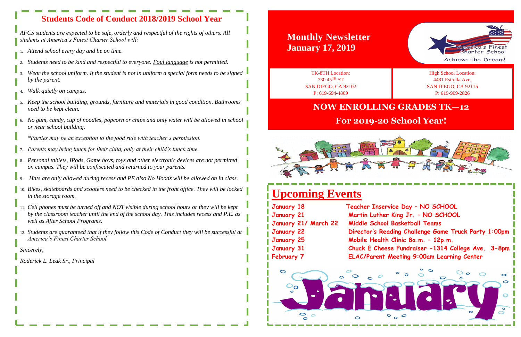# **Upcoming Events**

**January 18 Teacher Inservice Day – NO SCHOOL January 21 Martin Luther King Jr. – NO SCHOOL Middle School Basketball Teams Director's Reading Challenge Game Truck Party 1:00pm January 25 Mobile Health Clinic 8a.m. – 12p.m. Chuck E Cheese Fundraiser -1314 College Ave. 3-8pm ELAC/Parent Meeting 9:00am Learning Center** 

| <b>January 18</b>    |  |
|----------------------|--|
| <b>January 21</b>    |  |
| January 21/ March 22 |  |
| <b>January 22</b>    |  |
| <b>January 25</b>    |  |
| <b>January 31</b>    |  |
| <b>February 7</b>    |  |





# **Wonthly Newslett January 17, 2019**

**Monthly Newsletter**<br>• students at America's Finest Charter School will:<br>• students at America's Finest Charter School will: *AFCS students are expected to be safe, orderly and respectful of the rights of others. All students at America's Finest Charter School will:*

## **NOW ENROLLING GRADES TK—12**

## **For 2019-20 School Year!**



## **Students Code of Conduct 2018/2019 School Year**

- 1. *Attend school every day and be on time.*
- 2. *Students need to be kind and respectful to everyone. Foul language is not permitted.*
- 3. *Wear the school uniform. If the student is not in uniform a special form needs to be signed by the parent.*
- 4. *Walk quietly on campus.*
- 5. *Keep the school building, grounds, furniture and materials in good condition. Bathrooms need to be kept clean.*
- 6. *No gum, candy, cup of noodles, popcorn or chips and only water will be allowed in school or near school building.*
- *\*Parties may be an exception to the food rule with teacher's permission.*
- 7. *Parents may bring lunch for their child, only at their child's lunch time.*
- 8. *Personal tablets, IPods, Game boys, toys and other electronic devices are not permitted on campus. They will be confiscated and returned to your parents.*
- 9. *Hats are only allowed during recess and PE also No Hoods will be allowed on in class.*
- 10. *Bikes, skateboards and scooters need to be checked in the front office. They will be locked in the storage room.*
- 11. *Cell phones must be turned off and NOT visible during school hours or they will be kept by the classroom teacher until the end of the school day. This includes recess and P.E. as well as After School Programs.*
- 12. *Students are guaranteed that if they follow this Code of Conduct they will be successful at America's Finest Charter School.*

*Sincerely,*

*Roderick L. Leak Sr., Principal*

TK-8TH Location: 730 45TH ST SAN DIEGO, CA 92102 P: 619-694-4809

High School Location: 4481 Estrella Ave, SAN DIEGO, CA 92115 P: 619-909-2826